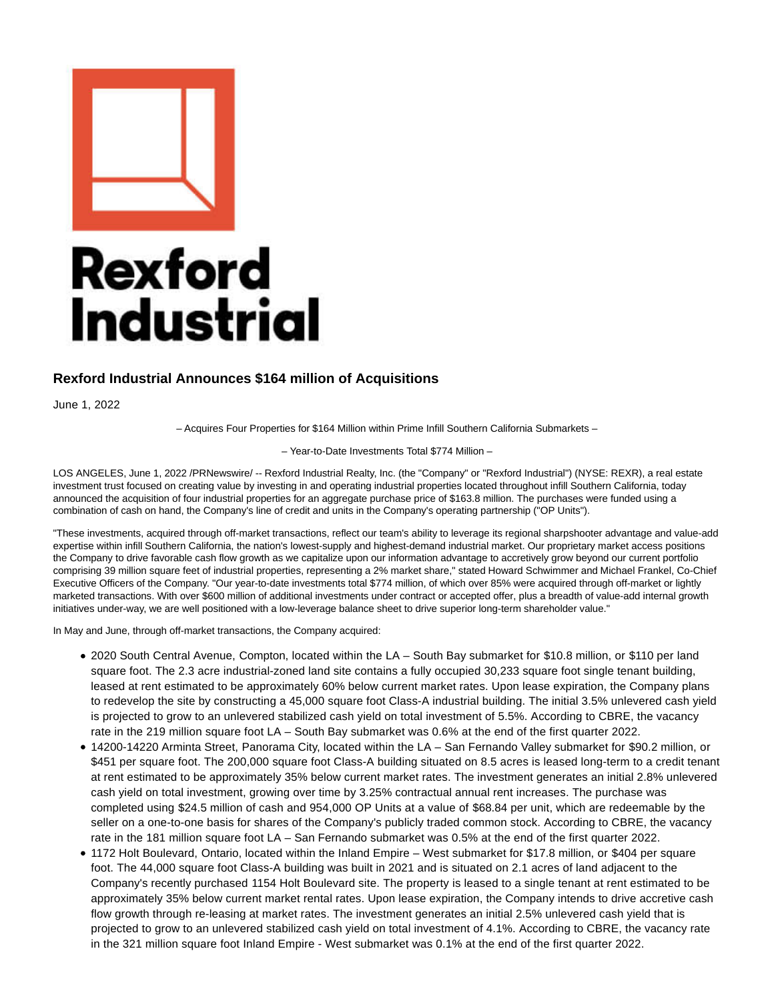

## **Rexford Industrial Announces \$164 million of Acquisitions**

June 1, 2022

– Acquires Four Properties for \$164 Million within Prime Infill Southern California Submarkets –

– Year-to-Date Investments Total \$774 Million –

LOS ANGELES, June 1, 2022 /PRNewswire/ -- Rexford Industrial Realty, Inc. (the "Company" or "Rexford Industrial") (NYSE: REXR), a real estate investment trust focused on creating value by investing in and operating industrial properties located throughout infill Southern California, today announced the acquisition of four industrial properties for an aggregate purchase price of \$163.8 million. The purchases were funded using a combination of cash on hand, the Company's line of credit and units in the Company's operating partnership ("OP Units").

"These investments, acquired through off-market transactions, reflect our team's ability to leverage its regional sharpshooter advantage and value-add expertise within infill Southern California, the nation's lowest-supply and highest-demand industrial market. Our proprietary market access positions the Company to drive favorable cash flow growth as we capitalize upon our information advantage to accretively grow beyond our current portfolio comprising 39 million square feet of industrial properties, representing a 2% market share," stated Howard Schwimmer and Michael Frankel, Co-Chief Executive Officers of the Company. "Our year-to-date investments total \$774 million, of which over 85% were acquired through off-market or lightly marketed transactions. With over \$600 million of additional investments under contract or accepted offer, plus a breadth of value-add internal growth initiatives under-way, we are well positioned with a low-leverage balance sheet to drive superior long-term shareholder value."

In May and June, through off-market transactions, the Company acquired:

- 2020 South Central Avenue, Compton, located within the LA South Bay submarket for \$10.8 million, or \$110 per land square foot. The 2.3 acre industrial-zoned land site contains a fully occupied 30,233 square foot single tenant building, leased at rent estimated to be approximately 60% below current market rates. Upon lease expiration, the Company plans to redevelop the site by constructing a 45,000 square foot Class-A industrial building. The initial 3.5% unlevered cash yield is projected to grow to an unlevered stabilized cash yield on total investment of 5.5%. According to CBRE, the vacancy rate in the 219 million square foot LA – South Bay submarket was 0.6% at the end of the first quarter 2022.
- 14200-14220 Arminta Street, Panorama City, located within the LA San Fernando Valley submarket for \$90.2 million, or \$451 per square foot. The 200,000 square foot Class-A building situated on 8.5 acres is leased long-term to a credit tenant at rent estimated to be approximately 35% below current market rates. The investment generates an initial 2.8% unlevered cash yield on total investment, growing over time by 3.25% contractual annual rent increases. The purchase was completed using \$24.5 million of cash and 954,000 OP Units at a value of \$68.84 per unit, which are redeemable by the seller on a one-to-one basis for shares of the Company's publicly traded common stock. According to CBRE, the vacancy rate in the 181 million square foot LA – San Fernando submarket was 0.5% at the end of the first quarter 2022.
- 1172 Holt Boulevard, Ontario, located within the Inland Empire West submarket for \$17.8 million, or \$404 per square foot. The 44,000 square foot Class-A building was built in 2021 and is situated on 2.1 acres of land adjacent to the Company's recently purchased 1154 Holt Boulevard site. The property is leased to a single tenant at rent estimated to be approximately 35% below current market rental rates. Upon lease expiration, the Company intends to drive accretive cash flow growth through re-leasing at market rates. The investment generates an initial 2.5% unlevered cash yield that is projected to grow to an unlevered stabilized cash yield on total investment of 4.1%. According to CBRE, the vacancy rate in the 321 million square foot Inland Empire - West submarket was 0.1% at the end of the first quarter 2022.